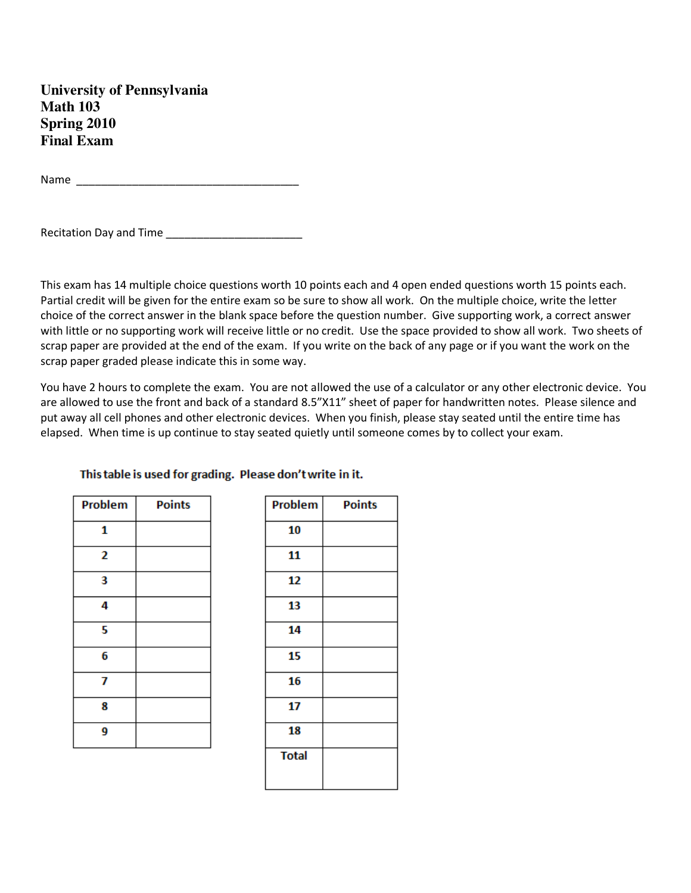**University of Pennsylvania Math 103 Spring 2010 Final Exam**

Name \_\_\_\_\_\_\_\_\_\_\_\_\_\_\_\_\_\_\_\_\_\_\_\_\_\_\_\_\_\_\_\_\_\_\_\_

Recitation Day and Time \_\_\_\_\_\_\_\_\_\_\_\_\_\_\_\_\_\_\_\_\_\_

This exam has 14 multiple choice questions worth 10 points each and 4 open ended questions worth 15 points each. Partial credit will be given for the entire exam so be sure to show all work. On the multiple choice, write the letter choice of the correct answer in the blank space before the question number. Give supporting work, a correct answer with little or no supporting work will receive little or no credit. Use the space provided to show all work. Two sheets of scrap paper are provided at the end of the exam. If you write on the back of any page or if you want the work on the scrap paper graded please indicate this in some way.

You have 2 hours to complete the exam. You are not allowed the use of a calculator or any other electronic device. You are allowed to use the front and back of a standard 8.5"X11" sheet of paper for handwritten notes. Please silence and put away all cell phones and other electronic devices. When you finish, please stay seated until the entire time has elapsed. When time is up continue to stay seated quietly until someone comes by to collect your exam.

| Problem | <b>Points</b> |
|---------|---------------|
| 1       |               |
| 2       |               |
| 3       |               |
| 4       |               |
| 5       |               |
| 6       |               |
| 7       |               |
| 8       |               |
| 9       |               |

This table is used for grading. Please don't write in it.

| Problem      | <b>Points</b> |
|--------------|---------------|
| 10           |               |
| 11           |               |
| 12           |               |
| 13           |               |
| 14           |               |
| 15           |               |
| 16           |               |
| 17           |               |
| 18           |               |
| <b>Total</b> |               |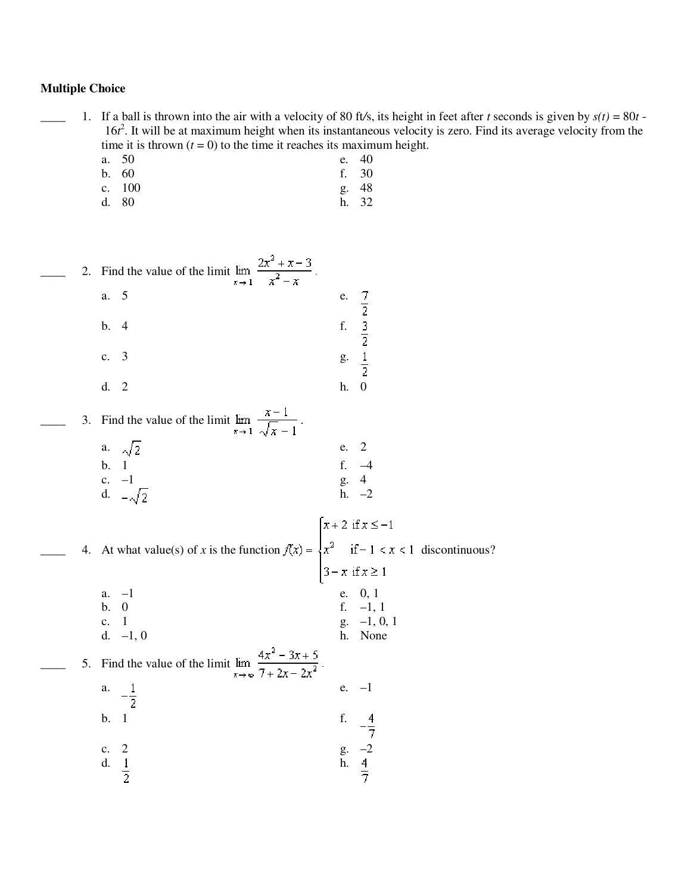# **Multiple Choice**

1. If a ball is thrown into the air with a velocity of 80 ft/s, its height in feet after *t* seconds is given by  $s(t) = 80t$  -16*t*<sup>2</sup>. It will be at maximum height when its instantaneous velocity is zero. Find its average velocity from the time it is thrown  $(t = 0)$  to the time it reaches its maximum height.

- a. 50 e. 40<br>b. 60 e. 30 b. 60 f. 30 c. 100 g. 48
- d. 80 h. 32

|  | 2. Find the value of the limit $\lim_{x \to 1} \frac{2x^2 + x - 3}{x^2 - x}$ .<br>5<br>a.<br>b.<br>$\overline{4}$<br>3<br>$\mathbf{c}$ .<br>d. 2                                | e.<br>$\frac{7}{2}$<br>$\frac{3}{2}$<br>$\frac{1}{2}$<br>f.<br>g.<br>$\overline{\phantom{0}}$<br>h. |
|--|---------------------------------------------------------------------------------------------------------------------------------------------------------------------------------|-----------------------------------------------------------------------------------------------------|
|  | 3. Find the value of the limit $\lim_{x \to 1} \frac{x-1}{\sqrt{x-1}}$ .<br>a. $\sqrt{2}$<br>b. 1<br>c. -1<br>d. $-\sqrt{2}$                                                    | $\overline{2}$<br>e.<br>f. $-4$<br>g. 4<br>h. $-2$                                                  |
|  | 4. At what value(s) of x is the function $f(x) = \begin{cases} x+2 & \text{if } x \le -1 \\ x^2 & \text{if } -1 < x < 1 \\ 3-x & \text{if } x \ge 1 \end{cases}$ discontinuous? |                                                                                                     |
|  | $a. -1$<br><b>b.</b> 0<br>c. $1$<br>d. $-1, 0$<br>5. Find the value of the limit $\lim_{x \to \infty} \frac{4x^2 - 3x + 5}{7 + 2x - 2x^2}$                                      | e. 0, 1<br>f. $-1, 1$<br>$g. -1, 0, 1$<br>h. None                                                   |
|  | $-\frac{1}{2}$<br>a.<br>b.<br>$\mathbf{1}$<br>c. 2<br>d. $\frac{1}{2}$                                                                                                          | $-1$<br>e.<br>f. $-\frac{4}{7}$<br>g. $-2$<br>h. $\frac{4}{7}$                                      |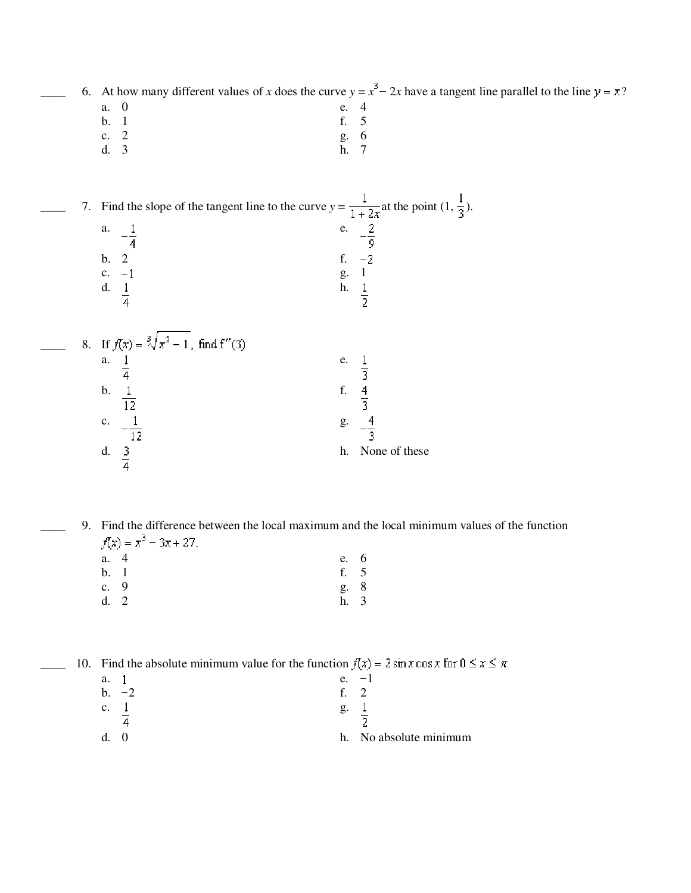6. At how many different values of *x* does the curve  $y = x^3 - 2x$  have a tangent line parallel to the line  $y = x$ ?

- a. 0 e. 4
- b. 1 f. 5
- c. 2 g. 6 d. 3 h. 7

7. Find the slope of the tangent line to the curve  $y = \frac{1}{1 + 2x}$  at the point  $(1, \frac{1}{3})$ .  $-\frac{2}{9}$ a.  $1$  e.

- b. 2 f.  $-2$ <br>c.  $-1$  g. 1 c.  $-1$ <br>d.  $\frac{1}{4}$ <br>f.  $\frac{1}{2}$ d.  $\frac{1}{4}$
- $\_\_\_\_\$  8. If a.  $1$  e.  $\frac{1}{3}$   $\frac{4}{3}$ b.  $\frac{1}{12}$  f. c.  $-\frac{1}{12}$  g.  $-\frac{4}{3}$ d.  $\frac{3}{4}$  h. None of these

\_\_\_\_ 9. Find the difference between the local maximum and the local minimum values of the function  $f(x) = x^3 - 3x + 27.$ 

a. 4 e. 6 b. 1 f. 5 c. 9 g. 8 d. 2 h. 3

10. Find the absolute minimum value for the function  $f(x) = 2 \sin x \cos x$  for  $0 \le x \le \pi$ .

| a.             |         | e. | — I                    |
|----------------|---------|----|------------------------|
|                | $b. -2$ | f  |                        |
| $\mathbf{c}$ . |         | g. |                        |
|                |         |    |                        |
| d.             |         |    | h. No absolute minimum |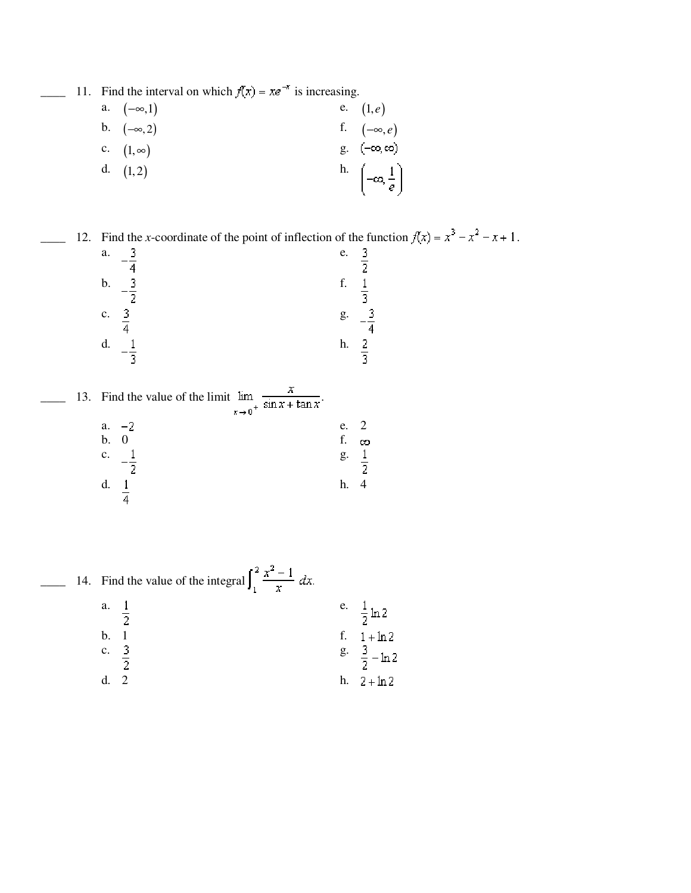\_\_\_\_ 11. Find the interval on which  $f(x) = xe^{-x}$  is increasing.

a. 
$$
(-\infty, 1)
$$
  
\nb.  $(-\infty, 2)$   
\nc.  $(1, \infty)$   
\nd.  $(1, 2)$   
\n $\begin{array}{ccc}\n&\text{e.} & (1, e) \\
&\text{f.} & (-\infty, e) \\
&\text{g.} & (-\infty, \infty)\n\end{array}$ \n  
\nb.  $\begin{pmatrix}\n&\text{i} \\
-\infty, \frac{1}{e}\n\end{pmatrix}$ 

12. Find the *x*-coordinate of the point of inflection of the function  $f(x) = x^3 - x^4 - x + 1$ .

| a. |                          | e. |                                  |
|----|--------------------------|----|----------------------------------|
| b. | $\overline{4}$<br>-3.    | f. | 2                                |
| c. | $\overline{\phantom{a}}$ | g. | $\overline{3}$<br>-3             |
| d. | -3.                      | h. | $\overline{4}$<br>$\overline{3}$ |
|    |                          |    |                                  |

|  | 13. Find the value of the limit lim<br>$x \rightarrow 0^+$ sin $x + \tan x$ |          |   |
|--|-----------------------------------------------------------------------------|----------|---|
|  | $-2$<br>a.<br>b.                                                            | e.<br>f. | ∞ |
|  | $\mathbf{c}$ .                                                              | g.       |   |
|  | d.                                                                          | h.       |   |

|  | 14. Find the value of the integral $\int_1^2 \frac{x^2 - 1}{x} dx$ . |                        |
|--|----------------------------------------------------------------------|------------------------|
|  | a. $\frac{1}{2}$                                                     | e. $\frac{1}{2} \ln 2$ |
|  | b.                                                                   | f. $1 + \ln 2$         |
|  | c. $3$                                                               | $\frac{g}{2} - \ln 2$  |
|  |                                                                      | $h. \quad 2 + ln 2$    |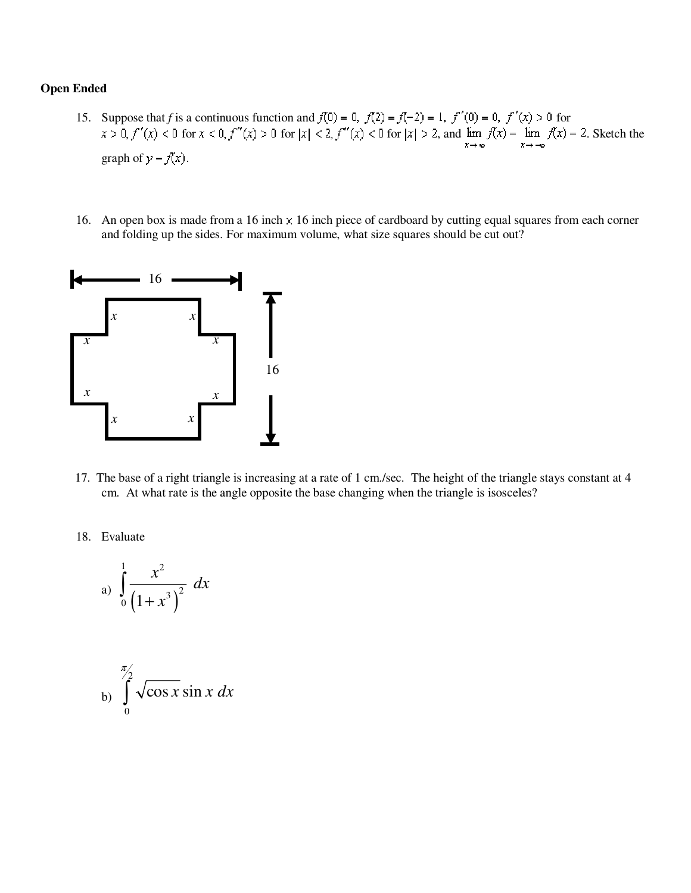#### **Open Ended**

- 15. Suppose that *f* is a continuous function and  $f(0) = 0$ ,  $f(2) = f(-2) = 1$ ,  $f'(0) = 0$ ,  $f'(x) > 0$  for  $f(x)$  < 0 for  $x < 0$ ,  $f''(x) > 0$  for  $|x| < 2$ ,  $f''(x) < 0$  for  $|x| > 2$ , and  $\lim_{x \to \infty} f(x) = \lim_{x \to -\infty} f(x) = 2$ . Sketch the graph of  $y = f(x)$ .
- 16. An open box is made from a 16 inch  $\times$  16 inch piece of cardboard by cutting equal squares from each corner and folding up the sides. For maximum volume, what size squares should be cut out?



- 17. The base of a right triangle is increasing at a rate of 1 cm./sec. The height of the triangle stays constant at 4 cm. At what rate is the angle opposite the base changing when the triangle is isosceles?
- 18. Evaluate

a) 
$$
\int_0^1 \frac{x^2}{(1+x^3)^2} dx
$$

$$
\int_{0}^{\pi/2} \sqrt{\cos x} \sin x \, dx
$$